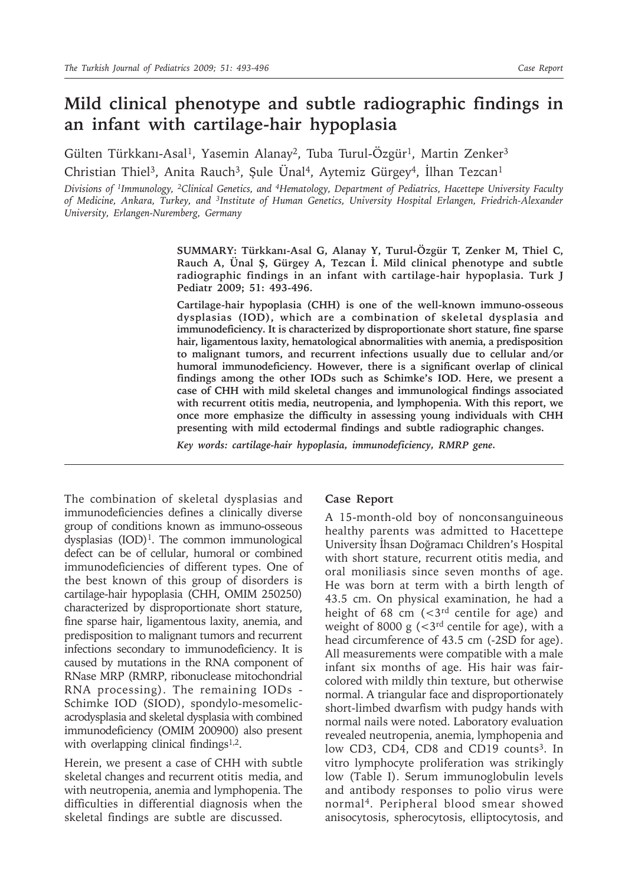# **Mild clinical phenotype and subtle radiographic findings in an infant with cartilage-hair hypoplasia**

Gülten Türkkanı-Asal<sup>1</sup>, Yasemin Alanay<sup>2</sup>, Tuba Turul-Özgür<sup>1</sup>, Martin Zenker<sup>3</sup>

Christian Thiel<sup>3</sup>, Anita Rauch<sup>3</sup>, Şule Ünal<sup>4</sup>, Aytemiz Gürgey<sup>4</sup>, İlhan Tezcan<sup>1</sup>

*Divisions of 1Immunology, 2Clinical Genetics, and 4Hematology, Department of Pediatrics, Hacettepe University Faculty of Medicine, Ankara, Turkey, and 3Institute of Human Genetics, University Hospital Erlangen, Friedrich-Alexander University, Erlangen-Nuremberg, Germany*

> **SUMMARY: Türkkanı-Asal G, Alanay Y, Turul-Özgür T, Zenker M, Thiel C, Rauch A, Ünal Ş, Gürgey A, Tezcan İ. Mild clinical phenotype and subtle radiographic findings in an infant with cartilage-hair hypoplasia. Turk J Pediatr 2009; 51: 493-496.**

> **Cartilage-hair hypoplasia (CHH) is one of the well-known immuno-osseous dysplasias (IOD), which are a combination of skeletal dysplasia and immunodeficiency. It is characterized by disproportionate short stature, fine sparse hair, ligamentous laxity, hematological abnormalities with anemia, a predisposition to malignant tumors, and recurrent infections usually due to cellular and/or humoral immunodeficiency. However, there is a significant overlap of clinical findings among the other IODs such as Schimke's IOD. Here, we present a case of CHH with mild skeletal changes and immunological findings associated with recurrent otitis media, neutropenia, and lymphopenia. With this report, we once more emphasize the difficulty in assessing young individuals with CHH presenting with mild ectodermal findings and subtle radiographic changes.**

*Key words: cartilage-hair hypoplasia, immunodeficiency, RMRP gene.*

The combination of skeletal dysplasias and immunodeficiencies defines a clinically diverse group of conditions known as immuno-osseous dysplasias  $(IOD)^1$ . The common immunological defect can be of cellular, humoral or combined immunodeficiencies of different types. One of the best known of this group of disorders is cartilage-hair hypoplasia (CHH, OMIM 250250) characterized by disproportionate short stature, fine sparse hair, ligamentous laxity, anemia, and predisposition to malignant tumors and recurrent infections secondary to immunodeficiency. It is caused by mutations in the RNA component of RNase MRP (RMRP, ribonuclease mitochondrial RNA processing). The remaining IODs - Schimke IOD (SIOD), spondylo-mesomelicacrodysplasia and skeletal dysplasia with combined immunodeficiency (OMIM 200900) also present with overlapping clinical findings $1,2$ .

Herein, we present a case of CHH with subtle skeletal changes and recurrent otitis media, and with neutropenia, anemia and lymphopenia. The difficulties in differential diagnosis when the skeletal findings are subtle are discussed.

### **Case Report**

A 15-month-old boy of nonconsanguineous healthy parents was admitted to Hacettepe University İhsan Doğramacı Children's Hospital with short stature, recurrent otitis media, and oral moniliasis since seven months of age. He was born at term with a birth length of 43.5 cm. On physical examination, he had a height of 68 cm  $\left( < \frac{3}{rd} \right)$  centile for age) and weight of 8000 g  $\left($  < 3<sup>rd</sup> centile for age), with a head circumference of 43.5 cm (-2SD for age). All measurements were compatible with a male infant six months of age. His hair was faircolored with mildly thin texture, but otherwise normal. A triangular face and disproportionately short-limbed dwarfism with pudgy hands with normal nails were noted. Laboratory evaluation revealed neutropenia, anemia, lymphopenia and low CD3, CD4, CD8 and CD19 counts<sup>3</sup>. In vitro lymphocyte proliferation was strikingly low (Table I). Serum immunoglobulin levels and antibody responses to polio virus were normal4. Peripheral blood smear showed anisocytosis, spherocytosis, elliptocytosis, and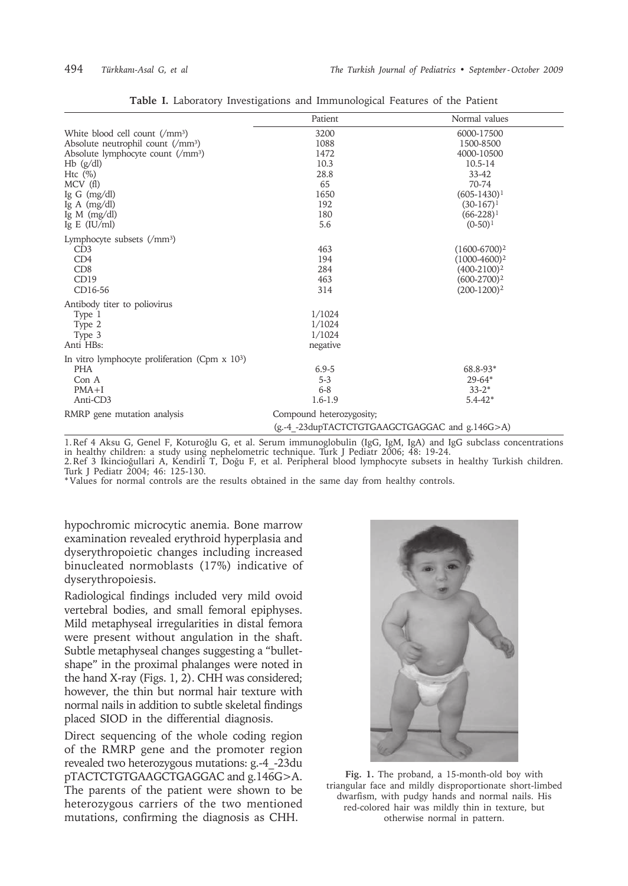|                                                              | Patient                                        | Normal values     |
|--------------------------------------------------------------|------------------------------------------------|-------------------|
| White blood cell count (/mm <sup>3</sup> )                   | 3200                                           | 6000-17500        |
| Absolute neutrophil count (/mm <sup>3</sup> )                | 1088                                           | 1500-8500         |
| Absolute lymphocyte count $\rm(\gamma m)^3$                  | 1472                                           | 4000-10500        |
| $Hb$ (g/dl)                                                  | 10.3                                           | $10.5 - 14$       |
| Htc $(\%)$                                                   | 28.8                                           | 33-42             |
| MCV(f)                                                       | 65                                             | 70-74             |
| Ig G $(mg/dl)$                                               | 1650                                           | $(605-1430)^1$    |
| Ig A $(mg/dl)$                                               | 192                                            | $(30-167)^1$      |
| Ig M $(mg/dl)$                                               | 180                                            | $(66-228)^1$      |
| Ig E $(IU/ml)$                                               | 5.6                                            | $(0-50)^1$        |
| Lymphocyte subsets $\rm \left( \sqrt{mm^3} \right)$          |                                                |                   |
| CD3                                                          | 463                                            | $(1600 - 6700)^2$ |
| CD4                                                          | 194                                            | $(1000-4600)^2$   |
| CD8                                                          | 284                                            | $(400-2100)^2$    |
| CD19                                                         | 463                                            | $(600-2700)^2$    |
| CD16-56                                                      | 314                                            | $(200-1200)^2$    |
| Antibody titer to poliovirus                                 |                                                |                   |
| Type 1                                                       | 1/1024                                         |                   |
| Type 2                                                       | 1/1024                                         |                   |
| Type 3                                                       | 1/1024                                         |                   |
| Anti HBs:                                                    | negative                                       |                   |
| In vitro lymphocyte proliferation (Cpm $x$ 10 <sup>3</sup> ) |                                                |                   |
| <b>PHA</b>                                                   | $6.9 - 5$                                      | 68.8-93*          |
| Con A                                                        | $5 - 3$                                        | $29 - 64*$        |
| $PMA+I$                                                      | $6 - 8$                                        | $33-2*$           |
| Anti-CD3                                                     | $1.6 - 1.9$                                    | $5.4 - 42*$       |
| RMRP gene mutation analysis                                  | Compound heterozygosity;                       |                   |
|                                                              | (g.-4_-23dupTACTCTGTGAAGCTGAGGAC and g.146G>A) |                   |

**Table I.** Laboratory Investigations and Immunological Features of the Patient

1.Ref 4 Aksu G, Genel F, Koturoğlu G, et al. Serum immunoglobulin (IgG, IgM, IgA) and IgG subclass concentrations in healthy children: a study using nephelometric technique. Turk J Pediatr 2006; 48: 19-24. 2.Ref 3 Ikincioğullari A, Kendirli T, Doğu F, et al. Peripheral blood lymphocyte subsets in healthy Turkish children.

Turk J Pediatr 2004; 46: 125-130.

\* Values for normal controls are the results obtained in the same day from healthy controls.

hypochromic microcytic anemia. Bone marrow examination revealed erythroid hyperplasia and dyserythropoietic changes including increased binucleated normoblasts (17%) indicative of dyserythropoiesis.

Radiological findings included very mild ovoid vertebral bodies, and small femoral epiphyses. Mild metaphyseal irregularities in distal femora were present without angulation in the shaft. Subtle metaphyseal changes suggesting a "bulletshape" in the proximal phalanges were noted in the hand X-ray (Figs. 1, 2). CHH was considered; however, the thin but normal hair texture with normal nails in addition to subtle skeletal findings placed SIOD in the differential diagnosis.

Direct sequencing of the whole coding region of the RMRP gene and the promoter region revealed two heterozygous mutations: g.-4\_-23du pTACTCTGTGAAGCTGAGGAC and g.146G>A. The parents of the patient were shown to be heterozygous carriers of the two mentioned mutations, confirming the diagnosis as CHH.



**Fig. 1.** The proband, a 15-month-old boy with triangular face and mildly disproportionate short-limbed dwarfism, with pudgy hands and normal nails. His red-colored hair was mildly thin in texture, but otherwise normal in pattern.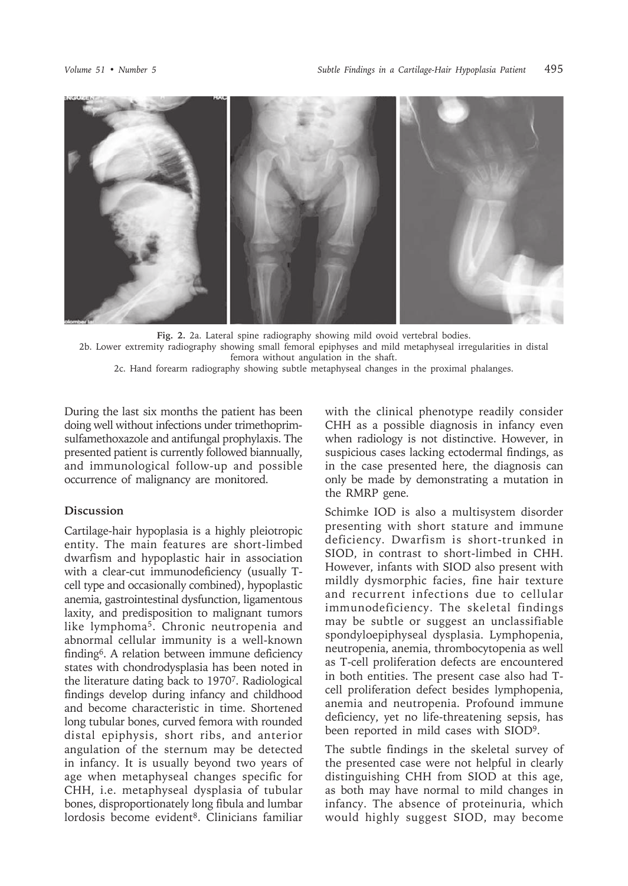

**Fig. 2.** 2a. Lateral spine radiography showing mild ovoid vertebral bodies. 2b. Lower extremity radiography showing small femoral epiphyses and mild metaphyseal irregularities in distal femora without angulation in the shaft.

2c. Hand forearm radiography showing subtle metaphyseal changes in the proximal phalanges.

During the last six months the patient has been doing well without infections under trimethoprimsulfamethoxazole and antifungal prophylaxis. The presented patient is currently followed biannually, and immunological follow-up and possible occurrence of malignancy are monitored.

## **Discussion**

Cartilage-hair hypoplasia is a highly pleiotropic entity. The main features are short-limbed dwarfism and hypoplastic hair in association with a clear-cut immunodeficiency (usually Tcell type and occasionally combined), hypoplastic anemia, gastrointestinal dysfunction, ligamentous laxity, and predisposition to malignant tumors like lymphoma5. Chronic neutropenia and abnormal cellular immunity is a well-known finding6. A relation between immune deficiency states with chondrodysplasia has been noted in the literature dating back to 19707. Radiological findings develop during infancy and childhood and become characteristic in time. Shortened long tubular bones, curved femora with rounded distal epiphysis, short ribs, and anterior angulation of the sternum may be detected in infancy. It is usually beyond two years of age when metaphyseal changes specific for CHH, i.e. metaphyseal dysplasia of tubular bones, disproportionately long fibula and lumbar lordosis become evident<sup>8</sup>. Clinicians familiar

with the clinical phenotype readily consider CHH as a possible diagnosis in infancy even when radiology is not distinctive. However, in suspicious cases lacking ectodermal findings, as in the case presented here, the diagnosis can only be made by demonstrating a mutation in the RMRP gene.

Schimke IOD is also a multisystem disorder presenting with short stature and immune deficiency. Dwarfism is short-trunked in SIOD, in contrast to short-limbed in CHH. However, infants with SIOD also present with mildly dysmorphic facies, fine hair texture and recurrent infections due to cellular immunodeficiency. The skeletal findings may be subtle or suggest an unclassifiable spondyloepiphyseal dysplasia. Lymphopenia, neutropenia, anemia, thrombocytopenia as well as T-cell proliferation defects are encountered in both entities. The present case also had Tcell proliferation defect besides lymphopenia, anemia and neutropenia. Profound immune deficiency, yet no life-threatening sepsis, has been reported in mild cases with SIOD9.

The subtle findings in the skeletal survey of the presented case were not helpful in clearly distinguishing CHH from SIOD at this age, as both may have normal to mild changes in infancy. The absence of proteinuria, which would highly suggest SIOD, may become